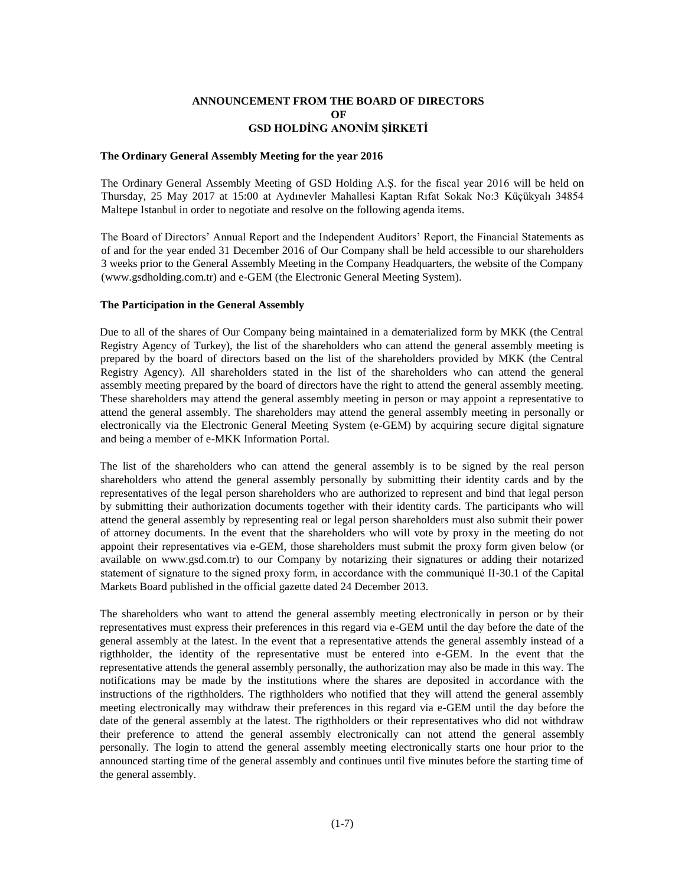# **ANNOUNCEMENT FROM THE BOARD OF DIRECTORS OF GSD HOLDİNG ANONİM ŞİRKETİ**

#### **The Ordinary General Assembly Meeting for the year 2016**

The Ordinary General Assembly Meeting of GSD Holding A.Ş. for the fiscal year 2016 will be held on Thursday, 25 May 2017 at 15:00 at Aydınevler Mahallesi Kaptan Rıfat Sokak No:3 Küçükyalı 34854 Maltepe Istanbul in order to negotiate and resolve on the following agenda items.

The Board of Directors' Annual Report and the Independent Auditors' Report, the Financial Statements as of and for the year ended 31 December 2016 of Our Company shall be held accessible to our shareholders 3 weeks prior to the General Assembly Meeting in the Company Headquarters, the website of the Company (www.gsdholding.com.tr) and e-GEM (the Electronic General Meeting System).

#### **The Participation in the General Assembly**

Due to all of the shares of Our Company being maintained in a dematerialized form by MKK (the Central Registry Agency of Turkey), the list of the shareholders who can attend the general assembly meeting is prepared by the board of directors based on the list of the shareholders provided by MKK (the Central Registry Agency). All shareholders stated in the list of the shareholders who can attend the general assembly meeting prepared by the board of directors have the right to attend the general assembly meeting. These shareholders may attend the general assembly meeting in person or may appoint a representative to attend the general assembly. The shareholders may attend the general assembly meeting in personally or electronically via the Electronic General Meeting System (e-GEM) by acquiring secure digital signature and being a member of e-MKK Information Portal.

The list of the shareholders who can attend the general assembly is to be signed by the real person shareholders who attend the general assembly personally by submitting their identity cards and by the representatives of the legal person shareholders who are authorized to represent and bind that legal person by submitting their authorization documents together with their identity cards. The participants who will attend the general assembly by representing real or legal person shareholders must also submit their power of attorney documents. In the event that the shareholders who will vote by proxy in the meeting do not appoint their representatives via e-GEM, those shareholders must submit the proxy form given below (or available on www.gsd.com.tr) to our Company by notarizing their signatures or adding their notarized statement of signature to the signed proxy form, in accordance with the communiqué II-30.1 of the Capital Markets Board published in the official gazette dated 24 December 2013.

The shareholders who want to attend the general assembly meeting electronically in person or by their representatives must express their preferences in this regard via e-GEM until the day before the date of the general assembly at the latest. In the event that a representative attends the general assembly instead of a rigthholder, the identity of the representative must be entered into e-GEM. In the event that the representative attends the general assembly personally, the authorization may also be made in this way. The notifications may be made by the institutions where the shares are deposited in accordance with the instructions of the rigthholders. The rigthholders who notified that they will attend the general assembly meeting electronically may withdraw their preferences in this regard via e-GEM until the day before the date of the general assembly at the latest. The rigthholders or their representatives who did not withdraw their preference to attend the general assembly electronically can not attend the general assembly personally. The login to attend the general assembly meeting electronically starts one hour prior to the announced starting time of the general assembly and continues until five minutes before the starting time of the general assembly.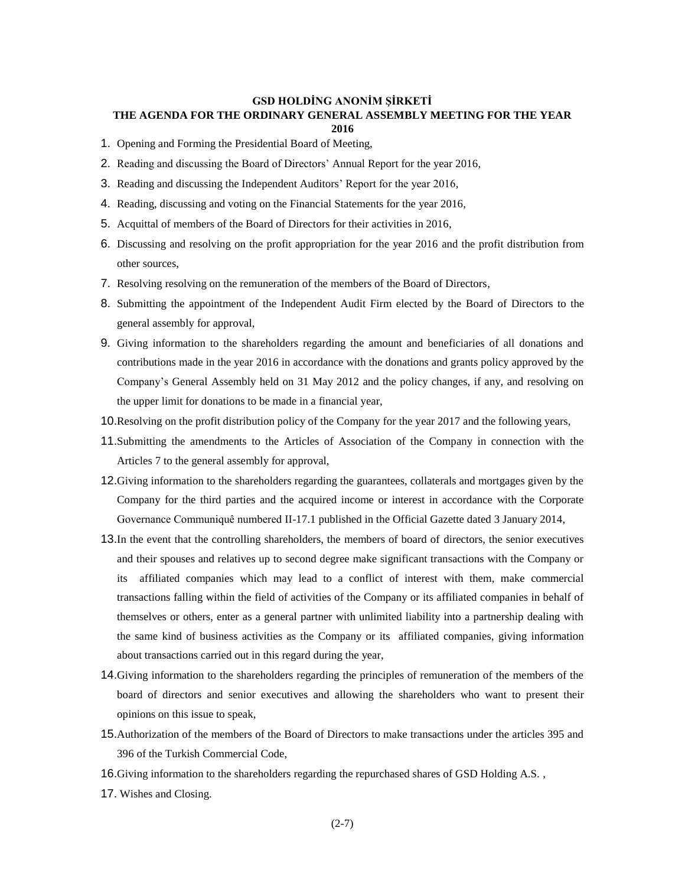## **GSD HOLDİNG ANONİM ŞİRKETİ THE AGENDA FOR THE ORDINARY GENERAL ASSEMBLY MEETING FOR THE YEAR 2016**

- 1. Opening and Forming the Presidential Board of Meeting,
- 2. Reading and discussing the Board of Directors' Annual Report for the year 2016,
- 3. Reading and discussing the Independent Auditors' Report for the year 2016,
- 4. Reading, discussing and voting on the Financial Statements for the year 2016,
- 5. Acquittal of members of the Board of Directors for their activities in 2016,
- 6. Discussing and resolving on the profit appropriation for the year 2016 and the profit distribution from other sources,
- 7. Resolving resolving on the remuneration of the members of the Board of Directors,
- 8. Submitting the appointment of the Independent Audit Firm elected by the Board of Directors to the general assembly for approval,
- 9. Giving information to the shareholders regarding the amount and beneficiaries of all donations and contributions made in the year 2016 in accordance with the donations and grants policy approved by the Company's General Assembly held on 31 May 2012 and the policy changes, if any, and resolving on the upper limit for donations to be made in a financial year,
- 10.Resolving on the profit distribution policy of the Company for the year 2017 and the following years,
- 11.Submitting the amendments to the Articles of Association of the Company in connection with the Articles 7 to the general assembly for approval,
- 12.Giving information to the shareholders regarding the guarantees, collaterals and mortgages given by the Company for the third parties and the acquired income or interest in accordance with the Corporate Governance Communiquê numbered II-17.1 published in the Official Gazette dated 3 January 2014,
- 13.In the event that the controlling shareholders, the members of board of directors, the senior executives and their spouses and relatives up to second degree make significant transactions with the Company or its affiliated companies which may lead to a conflict of interest with them, make commercial transactions falling within the field of activities of the Company or its affiliated companies in behalf of themselves or others, enter as a general partner with unlimited liability into a partnership dealing with the same kind of business activities as the Company or its affiliated companies, giving information about transactions carried out in this regard during the year,
- 14.Giving information to the shareholders regarding the principles of remuneration of the members of the board of directors and senior executives and allowing the shareholders who want to present their opinions on this issue to speak,
- 15.Authorization of the members of the Board of Directors to make transactions under the articles 395 and 396 of the Turkish Commercial Code,
- 16.Giving information to the shareholders regarding the repurchased shares of GSD Holding A.S. ,
- 17. Wishes and Closing.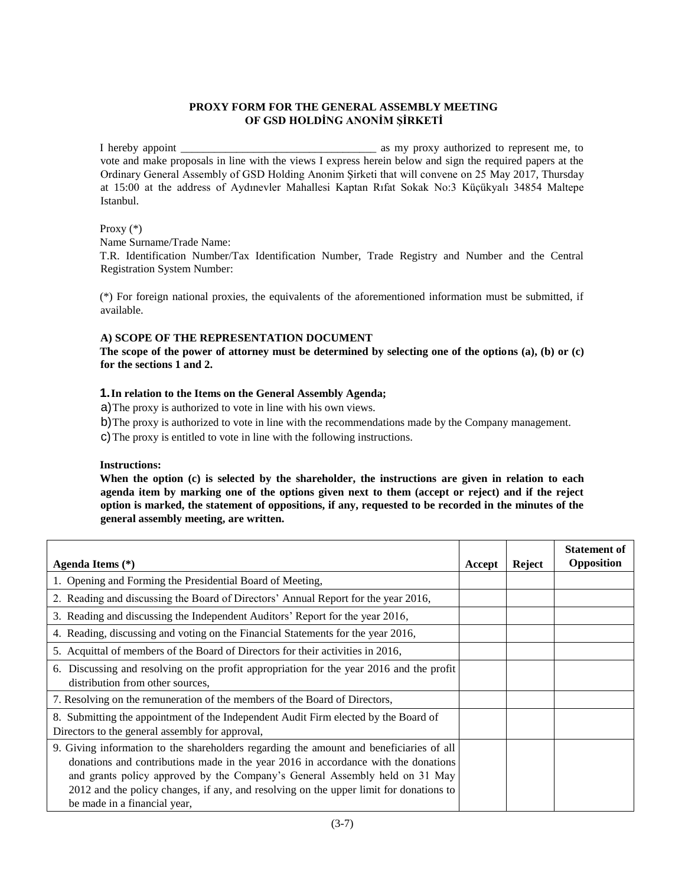# **PROXY FORM FOR THE GENERAL ASSEMBLY MEETING OF GSD HOLDİNG ANONİM ŞİRKETİ**

I hereby appoint \_\_\_\_\_\_\_\_\_\_\_\_\_\_\_\_\_\_\_\_\_\_\_\_\_\_\_\_\_\_\_\_\_\_\_ as my proxy authorized to represent me, to vote and make proposals in line with the views I express herein below and sign the required papers at the Ordinary General Assembly of GSD Holding Anonim Şirketi that will convene on 25 May 2017, Thursday at 15:00 at the address of Aydınevler Mahallesi Kaptan Rıfat Sokak No:3 Küçükyalı 34854 Maltepe Istanbul.

### Proxy (\*)

Name Surname/Trade Name:

T.R. Identification Number/Tax Identification Number, Trade Registry and Number and the Central Registration System Number:

(\*) For foreign national proxies, the equivalents of the aforementioned information must be submitted, if available.

## **A) SCOPE OF THE REPRESENTATION DOCUMENT**

**The scope of the power of attorney must be determined by selecting one of the options (a), (b) or (c) for the sections 1 and 2.** 

### **1.In relation to the Items on the General Assembly Agenda;**

a)The proxy is authorized to vote in line with his own views.

b)The proxy is authorized to vote in line with the recommendations made by the Company management.

c)The proxy is entitled to vote in line with the following instructions.

### **Instructions:**

**When the option (c) is selected by the shareholder, the instructions are given in relation to each agenda item by marking one of the options given next to them (accept or reject) and if the reject option is marked, the statement of oppositions, if any, requested to be recorded in the minutes of the general assembly meeting, are written.** 

| Agenda Items $(*)$                                                                                                                                                                                                                                                                                                                                                                     | Accept | <b>Reject</b> | <b>Statement of</b><br>Opposition |
|----------------------------------------------------------------------------------------------------------------------------------------------------------------------------------------------------------------------------------------------------------------------------------------------------------------------------------------------------------------------------------------|--------|---------------|-----------------------------------|
| 1. Opening and Forming the Presidential Board of Meeting,                                                                                                                                                                                                                                                                                                                              |        |               |                                   |
| 2. Reading and discussing the Board of Directors' Annual Report for the year 2016,                                                                                                                                                                                                                                                                                                     |        |               |                                   |
| 3. Reading and discussing the Independent Auditors' Report for the year 2016,                                                                                                                                                                                                                                                                                                          |        |               |                                   |
| 4. Reading, discussing and voting on the Financial Statements for the year 2016,                                                                                                                                                                                                                                                                                                       |        |               |                                   |
| 5. Acquittal of members of the Board of Directors for their activities in 2016,                                                                                                                                                                                                                                                                                                        |        |               |                                   |
| 6. Discussing and resolving on the profit appropriation for the year 2016 and the profit<br>distribution from other sources.                                                                                                                                                                                                                                                           |        |               |                                   |
| 7. Resolving on the remuneration of the members of the Board of Directors,                                                                                                                                                                                                                                                                                                             |        |               |                                   |
| 8. Submitting the appointment of the Independent Audit Firm elected by the Board of<br>Directors to the general assembly for approval,                                                                                                                                                                                                                                                 |        |               |                                   |
| 9. Giving information to the shareholders regarding the amount and beneficiaries of all<br>donations and contributions made in the year 2016 in accordance with the donations<br>and grants policy approved by the Company's General Assembly held on 31 May<br>2012 and the policy changes, if any, and resolving on the upper limit for donations to<br>be made in a financial year, |        |               |                                   |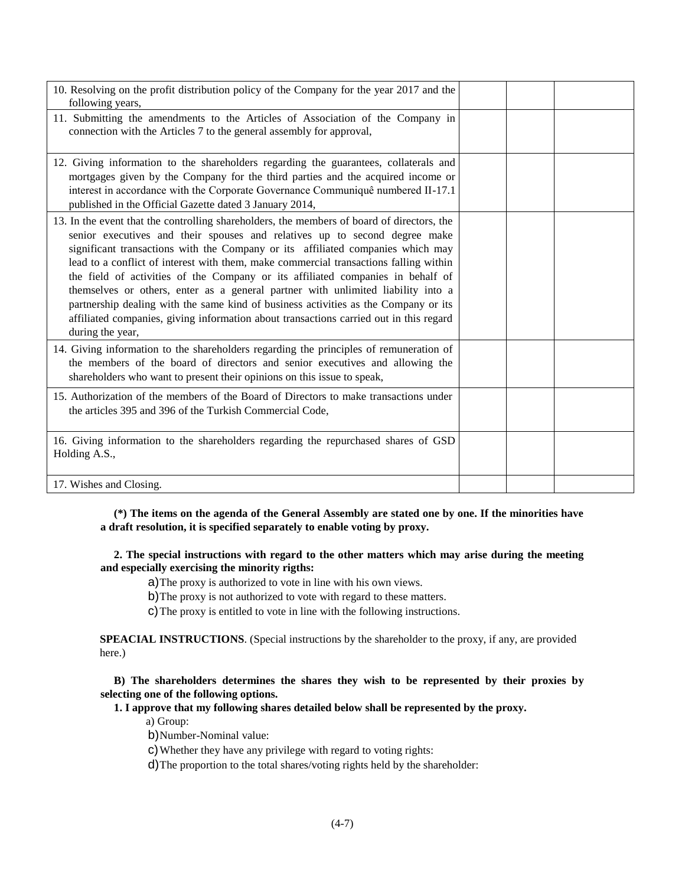| 10. Resolving on the profit distribution policy of the Company for the year 2017 and the<br>following years,                                                                                                                                                                                                                                                                                                                                                                                                                                                                                                                                                                                                                     |  |  |
|----------------------------------------------------------------------------------------------------------------------------------------------------------------------------------------------------------------------------------------------------------------------------------------------------------------------------------------------------------------------------------------------------------------------------------------------------------------------------------------------------------------------------------------------------------------------------------------------------------------------------------------------------------------------------------------------------------------------------------|--|--|
| 11. Submitting the amendments to the Articles of Association of the Company in<br>connection with the Articles 7 to the general assembly for approval,                                                                                                                                                                                                                                                                                                                                                                                                                                                                                                                                                                           |  |  |
| 12. Giving information to the shareholders regarding the guarantees, collaterals and<br>mortgages given by the Company for the third parties and the acquired income or<br>interest in accordance with the Corporate Governance Communiquê numbered II-17.1<br>published in the Official Gazette dated 3 January 2014,                                                                                                                                                                                                                                                                                                                                                                                                           |  |  |
| 13. In the event that the controlling shareholders, the members of board of directors, the<br>senior executives and their spouses and relatives up to second degree make<br>significant transactions with the Company or its affiliated companies which may<br>lead to a conflict of interest with them, make commercial transactions falling within<br>the field of activities of the Company or its affiliated companies in behalf of<br>themselves or others, enter as a general partner with unlimited liability into a<br>partnership dealing with the same kind of business activities as the Company or its<br>affiliated companies, giving information about transactions carried out in this regard<br>during the year, |  |  |
| 14. Giving information to the shareholders regarding the principles of remuneration of<br>the members of the board of directors and senior executives and allowing the<br>shareholders who want to present their opinions on this issue to speak,                                                                                                                                                                                                                                                                                                                                                                                                                                                                                |  |  |
| 15. Authorization of the members of the Board of Directors to make transactions under<br>the articles 395 and 396 of the Turkish Commercial Code,                                                                                                                                                                                                                                                                                                                                                                                                                                                                                                                                                                                |  |  |
| 16. Giving information to the shareholders regarding the repurchased shares of GSD<br>Holding A.S.,                                                                                                                                                                                                                                                                                                                                                                                                                                                                                                                                                                                                                              |  |  |
| 17. Wishes and Closing.                                                                                                                                                                                                                                                                                                                                                                                                                                                                                                                                                                                                                                                                                                          |  |  |

 **(\*) The items on the agenda of the General Assembly are stated one by one. If the minorities have a draft resolution, it is specified separately to enable voting by proxy.** 

 **2. The special instructions with regard to the other matters which may arise during the meeting and especially exercising the minority rigths:**

a)The proxy is authorized to vote in line with his own views.

b)The proxy is not authorized to vote with regard to these matters.

c)The proxy is entitled to vote in line with the following instructions.

**SPEACIAL INSTRUCTIONS**. (Special instructions by the shareholder to the proxy, if any, are provided here.)

 **B) The shareholders determines the shares they wish to be represented by their proxies by selecting one of the following options.**

 **1. I approve that my following shares detailed below shall be represented by the proxy.**

a) Group:

b)Number-Nominal value:

c)Whether they have any privilege with regard to voting rights:

d)The proportion to the total shares/voting rights held by the shareholder: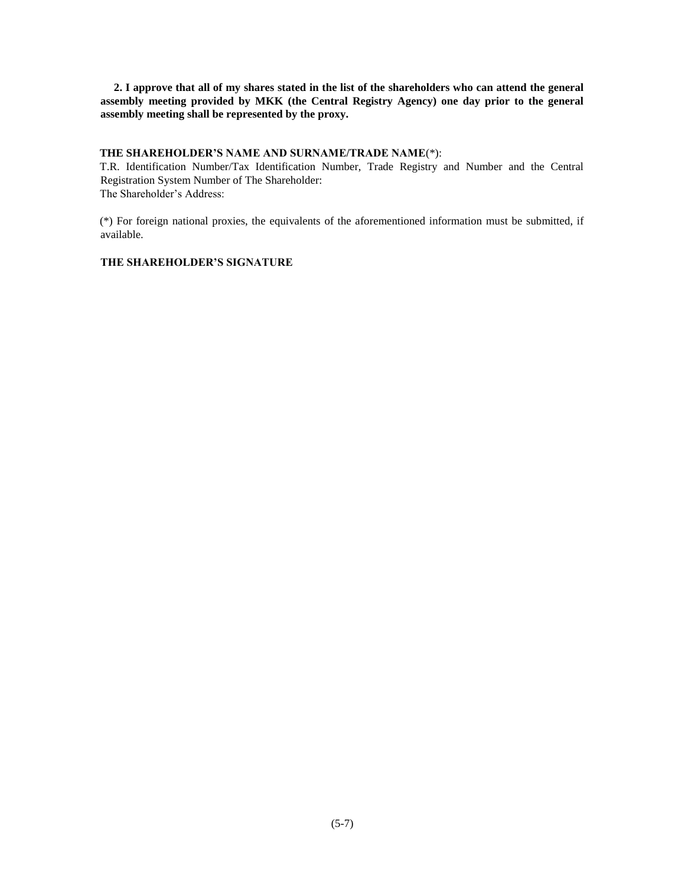**2. I approve that all of my shares stated in the list of the shareholders who can attend the general assembly meeting provided by MKK (the Central Registry Agency) one day prior to the general assembly meeting shall be represented by the proxy.** 

### **THE SHAREHOLDER'S NAME AND SURNAME/TRADE NAME**(\*):

T.R. Identification Number/Tax Identification Number, Trade Registry and Number and the Central Registration System Number of The Shareholder: The Shareholder's Address:

(\*) For foreign national proxies, the equivalents of the aforementioned information must be submitted, if available.

# **THE SHAREHOLDER'S SIGNATURE**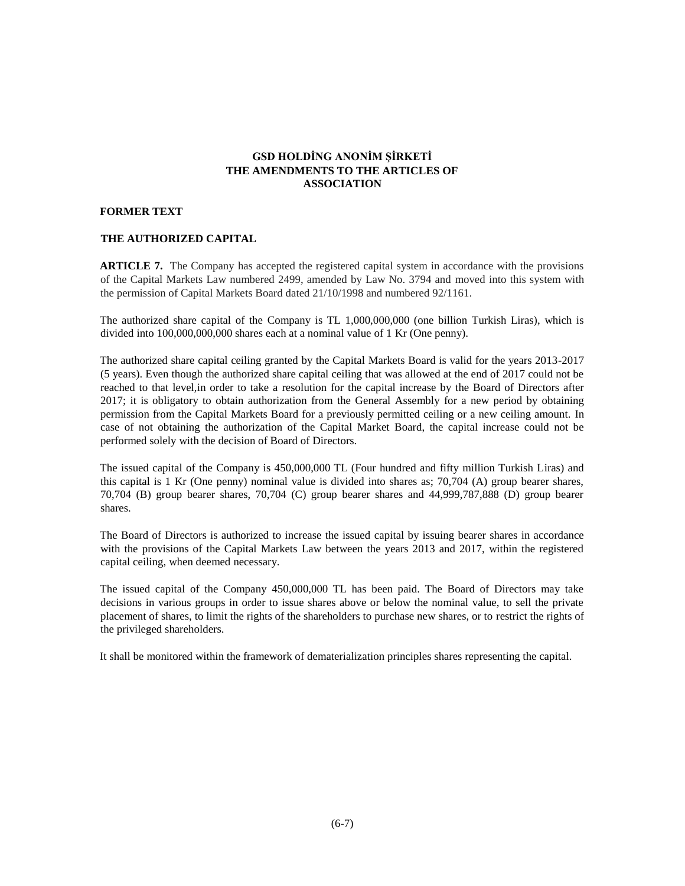# **GSD HOLDİNG ANONİM ŞİRKETİ THE AMENDMENTS TO THE ARTICLES OF ASSOCIATION**

### **FORMER TEXT**

### **THE AUTHORIZED CAPITAL**

**ARTICLE 7.** The Company has accepted the registered capital system in accordance with the provisions of the Capital Markets Law numbered 2499, amended by Law No. 3794 and moved into this system with the permission of Capital Markets Board dated 21/10/1998 and numbered 92/1161.

The authorized share capital of the Company is TL 1,000,000,000 (one billion Turkish Liras), which is divided into 100,000,000,000 shares each at a nominal value of 1 Kr (One penny).

The authorized share capital ceiling granted by the Capital Markets Board is valid for the years 2013-2017 (5 years). Even though the authorized share capital ceiling that was allowed at the end of 2017 could not be reached to that level,in order to take a resolution for the capital increase by the Board of Directors after 2017; it is obligatory to obtain authorization from the General Assembly for a new period by obtaining permission from the Capital Markets Board for a previously permitted ceiling or a new ceiling amount. In case of not obtaining the authorization of the Capital Market Board, the capital increase could not be performed solely with the decision of Board of Directors.

The issued capital of the Company is 450,000,000 TL (Four hundred and fifty million Turkish Liras) and this capital is 1 Kr (One penny) nominal value is divided into shares as; 70,704 (A) group bearer shares, 70,704 (B) group bearer shares, 70,704 (C) group bearer shares and 44,999,787,888 (D) group bearer shares.

The Board of Directors is authorized to increase the issued capital by issuing bearer shares in accordance with the provisions of the Capital Markets Law between the years 2013 and 2017, within the registered capital ceiling, when deemed necessary.

The issued capital of the Company 450,000,000 TL has been paid. The Board of Directors may take decisions in various groups in order to issue shares above or below the nominal value, to sell the private placement of shares, to limit the rights of the shareholders to purchase new shares, or to restrict the rights of the privileged shareholders.

It shall be monitored within the framework of dematerialization principles shares representing the capital.